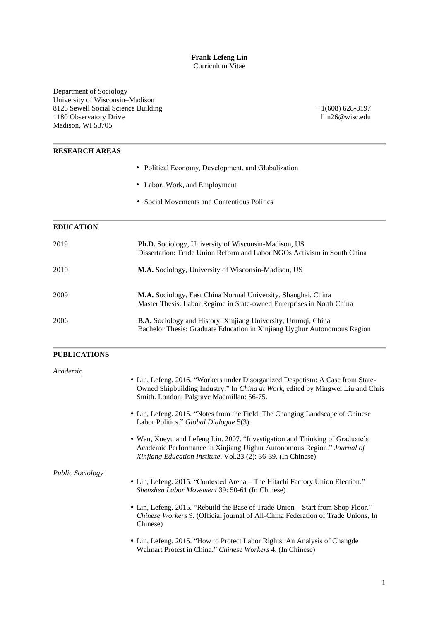#### **Frank Lefeng Lin** Curriculum Vitae

Department of Sociology University of Wisconsin–Madison 8128 Sewell Social Science Building 1180 Observatory Drive Madison, WI 53705

+1(608) 628-8197 llin26@wisc.edu

# **RESEARCH AREAS** Political Economy, Development, and Globalization Labor, Work, and Employment Social Movements and Contentious Politics **EDUCATION** 2019 **Ph.D.** Sociology, University of Wisconsin-Madison, US Dissertation: Trade Union Reform and Labor NGOs Activism in South China 2010 **M.A.** Sociology, University of Wisconsin-Madison, US 2009 **M.A.** Sociology, East China Normal University, Shanghai, China Master Thesis: Labor Regime in State-owned Enterprises in North China 2006 **B.A.** Sociology and History, Xinjiang University, Urumqi, China Bachelor Thesis: Graduate Education in Xinjiang Uyghur Autonomous Region **PUBLICATIONS** *Academic* Lin, Lefeng. 2016. "Workers under Disorganized Despotism: A Case from State-Owned Shipbuilding Industry." In *China at Work*, edited by Mingwei Liu and Chris Smith. London: Palgrave Macmillan: 56-75. Lin, Lefeng. 2015. "Notes from the Field: The Changing Landscape of Chinese Labor Politics." *Global Dialogue* 5(3). Wan, Xueyu and Lefeng Lin. 2007. "Investigation and Thinking of Graduate's Academic Performance in Xinjiang Uighur Autonomous Region." *Journal of Xinjiang Education Institute*. Vol.23 (2): 36-39. (In Chinese)

#### *Public Sociology*

- Lin, Lefeng. 2015. "Contested Arena The Hitachi Factory Union Election." *Shenzhen Labor Movement* 39: 50-61 (In Chinese)
- Lin, Lefeng. 2015. "Rebuild the Base of Trade Union Start from Shop Floor." *Chinese Workers* 9. (Official journal of All-China Federation of Trade Unions, In Chinese)
- Lin, Lefeng. 2015. "How to Protect Labor Rights: An Analysis of Changde Walmart Protest in China." *Chinese Workers* 4. (In Chinese)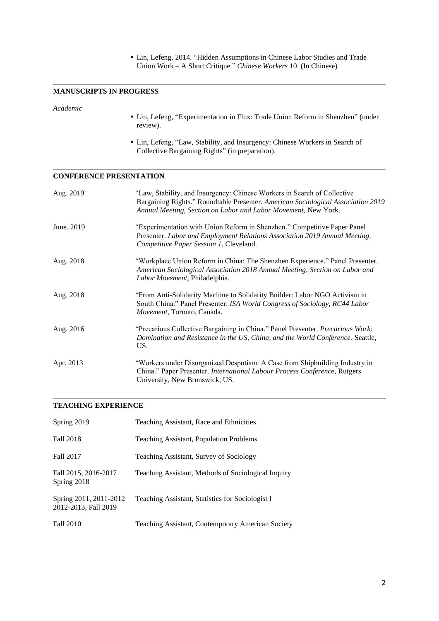Lin, Lefeng. 2014. "Hidden Assumptions in Chinese Labor Studies and Trade Union Work – A Short Critique." *Chinese Workers* 10. (In Chinese)

#### **MANUSCRIPTS IN PROGRESS**

# *Academic*

- Lin, Lefeng, "Experimentation in Flux: Trade Union Reform in Shenzhen" (under review).
- Lin, Lefeng, "Law, Stability, and Insurgency: Chinese Workers in Search of Collective Bargaining Rights" (in preparation).

# **CONFERENCE PRESENTATION**

| Aug. 2019  | "Law, Stability, and Insurgency: Chinese Workers in Search of Collective<br>Bargaining Rights." Roundtable Presenter. American Sociological Association 2019<br>Annual Meeting, Section on Labor and Labor Movement, New York. |
|------------|--------------------------------------------------------------------------------------------------------------------------------------------------------------------------------------------------------------------------------|
| June. 2019 | "Experimentation with Union Reform in Shenzhen." Competitive Paper Panel<br>Presenter. Labor and Employment Relations Association 2019 Annual Meeting,<br>Competitive Paper Session 1, Cleveland.                              |
| Aug. 2018  | "Workplace Union Reform in China: The Shenzhen Experience." Panel Presenter.<br>American Sociological Association 2018 Annual Meeting, Section on Labor and<br>Labor Movement, Philadelphia.                                   |
| Aug. 2018  | "From Anti-Solidarity Machine to Solidarity Builder: Labor NGO Activism in<br>South China." Panel Presenter. ISA World Congress of Sociology, RC44 Labor<br>Movement, Toronto, Canada.                                         |
| Aug. 2016  | "Precarious Collective Bargaining in China." Panel Presenter. Precarious Work:<br>Domination and Resistance in the US, China, and the World Conference. Seattle,<br>US.                                                        |
| Apr. 2013  | "Workers under Disorganized Despotism: A Case from Shipbuilding Industry in<br>China." Paper Presenter. International Labour Process Conference, Rutgers<br>University, New Brunswick, US.                                     |

## **TEACHING EXPERIENCE**

| Spring 2019                                    | Teaching Assistant, Race and Ethnicities            |
|------------------------------------------------|-----------------------------------------------------|
| Fall 2018                                      | Teaching Assistant, Population Problems             |
| Fall 2017                                      | Teaching Assistant, Survey of Sociology             |
| Fall 2015, 2016-2017<br>Spring 2018            | Teaching Assistant, Methods of Sociological Inquiry |
| Spring 2011, 2011-2012<br>2012-2013, Fall 2019 | Teaching Assistant, Statistics for Sociologist I    |
| <b>Fall 2010</b>                               | Teaching Assistant, Contemporary American Society   |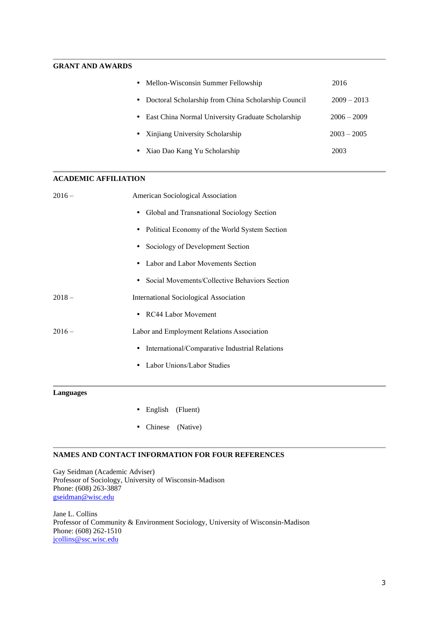## **GRANT AND AWARDS**

|           | • Mellon-Wisconsin Summer Fellowship                | 2016          |
|-----------|-----------------------------------------------------|---------------|
| $\bullet$ | Doctoral Scholarship from China Scholarship Council | $2009 - 2013$ |
| ٠         | East China Normal University Graduate Scholarship   | $2006 - 2009$ |
|           | • Xinjiang University Scholarship                   | $2003 - 2005$ |
|           | • Xiao Dao Kang Yu Scholarship                      | 2003          |

#### **ACADEMIC AFFILIATION**

| $2016-$ | American Sociological Association                           |
|---------|-------------------------------------------------------------|
|         | • Global and Transnational Sociology Section                |
|         | • Political Economy of the World System Section             |
|         | • Sociology of Development Section                          |
|         | Labor and Labor Movements Section                           |
|         | • Social Movements/Collective Behaviors Section             |
| $2018-$ | <b>International Sociological Association</b>               |
|         | RC44 Labor Movement<br>$\bullet$                            |
| $2016-$ | Labor and Employment Relations Association                  |
|         | International/Comparative Industrial Relations<br>$\bullet$ |
|         | Labor Unions/Labor Studies                                  |
|         |                                                             |

# **Languages**

- English (Fluent)
- Chinese (Native)

### **NAMES AND CONTACT INFORMATION FOR FOUR REFERENCES**

Gay Seidman (Academic Adviser) Professor of Sociology, University of Wisconsin-Madison Phone: (608) 263-3887 gseidman@wisc.edu

Jane L. Collins Professor of Community & Environment Sociology, University of Wisconsin-Madison Phone: (608) 262-1510 jcollins@ssc.wisc.edu